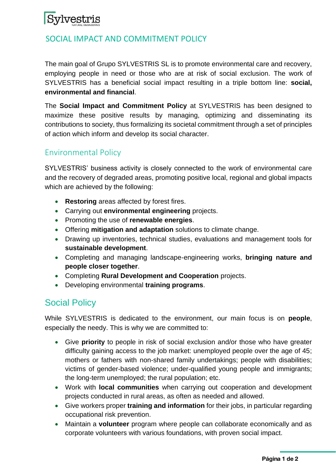# Sylvestris

#### <sup>1</sup>SOCIAL IMPACT AND COMMITMENT POLICY

The main goal of Grupo SYLVESTRIS SL is to promote environmental care and recovery, employing people in need or those who are at risk of social exclusion. The work of SYLVESTRIS has a beneficial social impact resulting in a triple bottom line: **social, environmental and financial**.

The **Social Impact and Commitment Policy** at SYLVESTRIS has been designed to maximize these positive results by managing, optimizing and disseminating its contributions to society, thus formalizing its societal commitment through a set of principles of action which inform and develop its social character.

#### Environmental Policy

SYLVESTRIS' business activity is closely connected to the work of environmental care and the recovery of degraded areas, promoting positive local, regional and global impacts which are achieved by the following:

- **Restoring** areas affected by forest fires.
- Carrying out **environmental engineering** projects.
- Promoting the use of **renewable energies**.
- Offering **mitigation and adaptation** solutions to climate change.
- Drawing up inventories, technical studies, evaluations and management tools for **sustainable development**.
- Completing and managing landscape-engineering works, **bringing nature and people closer together**.
- Completing **Rural Development and Cooperation** projects.
- Developing environmental **training programs**.

## Social Policy

While SYLVESTRIS is dedicated to the environment, our main focus is on **people**, especially the needy. This is why we are committed to:

- Give **priority** to people in risk of social exclusion and/or those who have greater difficulty gaining access to the job market: unemployed people over the age of 45; mothers or fathers with non-shared family undertakings; people with disabilities; victims of gender-based violence; under-qualified young people and immigrants; the long-term unemployed; the rural population; etc.
- Work with **local communities** when carrying out cooperation and development projects conducted in rural areas, as often as needed and allowed.
- Give workers proper **training and information** for their jobs, in particular regarding occupational risk prevention.
- Maintain a **volunteer** program where people can collaborate economically and as corporate volunteers with various foundations, with proven social impact.